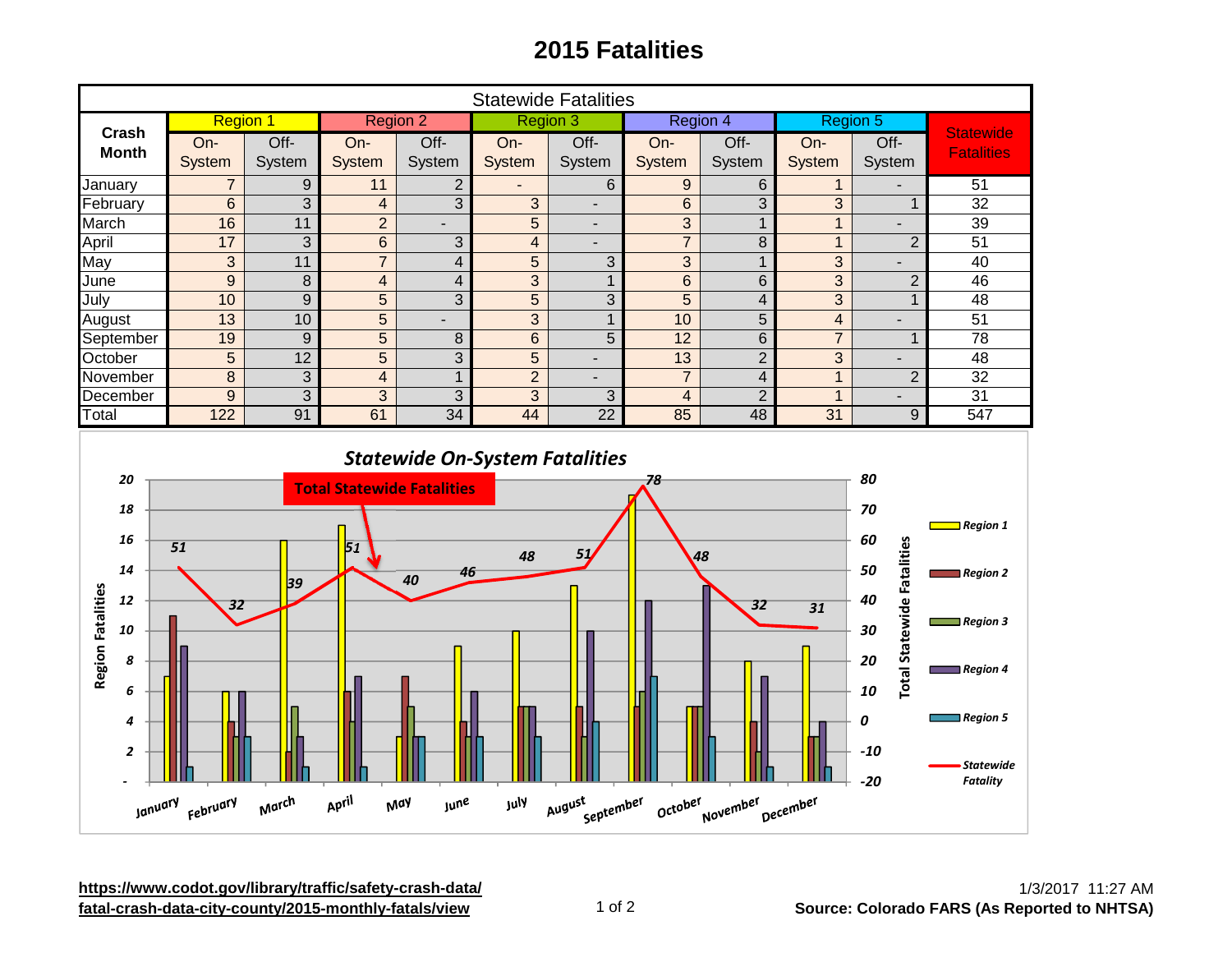## **2015 Fatalities**

| <b>Statewide Fatalities</b>                                                                                                           |                       |                  |                                                      |                         |                          |                          |                 |                         |                 |                                                                       |                                                                                           |
|---------------------------------------------------------------------------------------------------------------------------------------|-----------------------|------------------|------------------------------------------------------|-------------------------|--------------------------|--------------------------|-----------------|-------------------------|-----------------|-----------------------------------------------------------------------|-------------------------------------------------------------------------------------------|
| <b>Crash</b>                                                                                                                          | <b>Region 1</b>       |                  | <b>Region 2</b>                                      |                         | <b>Region 3</b>          |                          | Region 4        |                         | Region 5        |                                                                       |                                                                                           |
| <b>Month</b>                                                                                                                          | On-                   | Off-             | On-                                                  | Off-                    | On-                      | Off-                     | On-             | Off-                    | On-             | Off-                                                                  | <b>Statewide</b><br><b>Fatalities</b>                                                     |
|                                                                                                                                       | System                | System           | System                                               | System                  | System                   | System                   | System          | System                  | System          | System                                                                |                                                                                           |
| January                                                                                                                               | $\overline{7}$        | 9                | 11                                                   | $\overline{2}$          | $\overline{\phantom{a}}$ | 6                        | 9               | 6                       | $\mathbf{1}$    |                                                                       | $\overline{51}$                                                                           |
| February                                                                                                                              | $6\phantom{1}$        | 3                | $\overline{\mathbf{4}}$                              | 3                       | 3                        | $\overline{\phantom{a}}$ | $6\phantom{a}$  | 3                       | 3               | $\mathbf{1}$                                                          | 32                                                                                        |
| March                                                                                                                                 | 16                    | 11               | $\overline{2}$                                       | $\overline{a}$          | 5                        | $\overline{\phantom{a}}$ | 3               | $\mathbf{1}$            | $\mathbf{1}$    | $\overline{\phantom{a}}$                                              | 39                                                                                        |
| April                                                                                                                                 | 17                    | 3                | $6\phantom{a}$                                       | 3                       | $\overline{\mathbf{4}}$  | $\overline{\phantom{a}}$ | $\overline{7}$  | 8                       | $\mathbf{1}$    | $\overline{2}$                                                        | $\overline{51}$                                                                           |
| May                                                                                                                                   | 3                     | 11               | $\overline{7}$                                       | $\overline{\mathbf{4}}$ | 5                        | 3                        | 3               | $\mathbf{1}$            | 3               |                                                                       | 40                                                                                        |
| June                                                                                                                                  | $\mathsf g$           | 8                | $\overline{\mathbf{4}}$                              | $\overline{\mathbf{4}}$ | 3                        | $\mathbf{1}$             | $6\phantom{a}$  | $6\phantom{1}$          | 3               | $\overline{2}$                                                        | 46                                                                                        |
| July                                                                                                                                  | 10                    | $\boldsymbol{9}$ | 5                                                    | 3                       | 5                        | 3                        | 5               | $\overline{\mathbf{4}}$ | 3               | $\mathbf{1}$                                                          | 48                                                                                        |
| August                                                                                                                                | 13                    | 10               | $\overline{5}$                                       |                         | 3                        | $\mathbf{1}$             | 10              | $\overline{5}$          | $\overline{4}$  | ÷,                                                                    | 51                                                                                        |
| September                                                                                                                             | 19                    | $\boldsymbol{9}$ | 5                                                    | 8                       | $6\phantom{a}$           | 5                        | $\overline{12}$ | 6                       | $\overline{7}$  | $\mathbf{1}$                                                          | $\overline{78}$                                                                           |
| October                                                                                                                               | 5                     | $\overline{12}$  | $\overline{5}$                                       | $\overline{3}$          | $\overline{5}$           | $\blacksquare$           | 13              | $\overline{2}$          | $\overline{3}$  | $\overline{a}$                                                        | $\overline{48}$                                                                           |
| November                                                                                                                              | 8                     | $\overline{3}$   | $\overline{\mathbf{4}}$                              | $\mathbf{1}$            | $\overline{2}$           | $\overline{a}$           | $\overline{7}$  | $\overline{4}$          | $\overline{1}$  | $\overline{2}$                                                        | $\overline{32}$                                                                           |
| December                                                                                                                              | $\boldsymbol{9}$      | 3                | 3                                                    | 3                       | 3                        | 3                        | $\overline{4}$  | $\overline{2}$          | $\mathbf{1}$    | $\blacksquare$                                                        | 31                                                                                        |
| Total                                                                                                                                 | $\overline{122}$      | 91               | 61                                                   | $\overline{34}$         | 44                       | $\overline{22}$          | 85              | 48                      | 31              | $\boldsymbol{9}$                                                      | $\overline{547}$                                                                          |
| 20<br>18<br>16<br>14<br><b>Region Fatalities</b><br>12<br>10                                                                          | $\overline{51}$<br>32 | 39               | <b>Total Statewide Fatalities</b><br>$\overline{51}$ | 46<br>40                | 48                       | 51                       | 78              | $\overline{A8}$<br>32   | $\overline{31}$ | 80<br>70<br>60<br><b>Total Statewide Fatalities</b><br>50<br>40<br>30 | Region 1<br>Region 2<br>$\blacksquare$ Region 3                                           |
| 8<br>6<br>4<br>2                                                                                                                      |                       |                  |                                                      |                         |                          |                          |                 |                         |                 | 20<br>10<br>0<br>$-10$<br>$-20$                                       | $\blacksquare$ Region 4<br>$\blacksquare$ Region 5<br><b>Statewide</b><br><b>Fatality</b> |
| April<br>March<br>October<br>July<br>August<br>September<br>November<br>January <sub>February</sub><br>May<br><b>June</b><br>December |                       |                  |                                                      |                         |                          |                          |                 |                         |                 |                                                                       |                                                                                           |